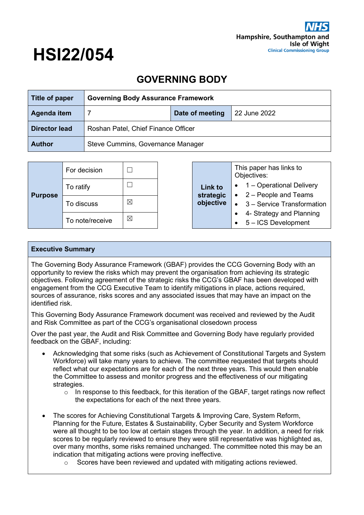# **HSI22/054**

## **GOVERNING BODY**

| Title of paper       | <b>Governing Body Assurance Framework</b> |  |  |  |  |
|----------------------|-------------------------------------------|--|--|--|--|
| Agenda item          | Date of meeting<br>22 June 2022           |  |  |  |  |
| <b>Director lead</b> | Roshan Patel, Chief Finance Officer       |  |  |  |  |
| <b>Author</b>        | Steve Cummins, Governance Manager         |  |  |  |  |

| <b>Purpose</b> | For decision    |   |                             | This paper has links to<br>Objectives:                                  |
|----------------|-----------------|---|-----------------------------|-------------------------------------------------------------------------|
|                | To ratify       |   | <b>Link to</b><br>strategic | 1 – Operational Delivery<br>$\bullet$<br>$\bullet$ 2 – People and Teams |
|                | To discuss      | ⊠ | objective                   | $\bullet$ 3 – Service Transformation                                    |
|                | To note/receive | ⊠ |                             | 4- Strategy and Planning<br>$\bullet$ 5 – ICS Development               |

#### **Executive Summary**

The Governing Body Assurance Framework (GBAF) provides the CCG Governing Body with an opportunity to review the risks which may prevent the organisation from achieving its strategic objectives. Following agreement of the strategic risks the CCG's GBAF has been developed with engagement from the CCG Executive Team to identify mitigations in place, actions required, sources of assurance, risks scores and any associated issues that may have an impact on the identified risk.

This Governing Body Assurance Framework document was received and reviewed by the Audit and Risk Committee as part of the CCG's organisational closedown process

Over the past year, the Audit and Risk Committee and Governing Body have regularly provided feedback on the GBAF, including:

- Acknowledging that some risks (such as Achievement of Constitutional Targets and System Workforce) will take many years to achieve. The committee requested that targets should reflect what our expectations are for each of the next three years. This would then enable the Committee to assess and monitor progress and the effectiveness of our mitigating strategies.
	- $\circ$  In response to this feedback, for this iteration of the GBAF, target ratings now reflect the expectations for each of the next three years.
- The scores for Achieving Constitutional Targets & Improving Care, System Reform, Planning for the Future, Estates & Sustainability, Cyber Security and System Workforce were all thought to be too low at certain stages through the year. In addition, a need for risk scores to be regularly reviewed to ensure they were still representative was highlighted as, over many months, some risks remained unchanged. The committee noted this may be an indication that mitigating actions were proving ineffective.
	- $\circ$  Scores have been reviewed and updated with mitigating actions reviewed.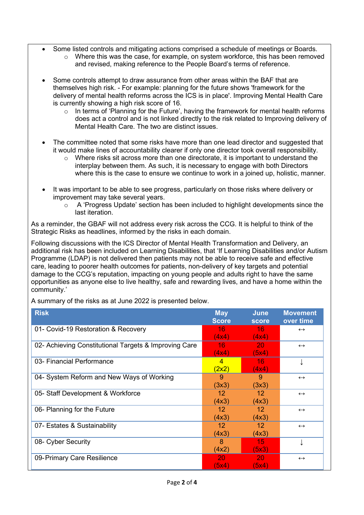- Some listed controls and mitigating actions comprised a schedule of meetings or Boards.
	- $\circ$  Where this was the case, for example, on system workforce, this has been removed and revised, making reference to the People Board's terms of reference.
- Some controls attempt to draw assurance from other areas within the BAF that are themselves high risk. - For example: planning for the future shows 'framework for the delivery of mental health reforms across the ICS is in place'. Improving Mental Health Care is currently showing a high risk score of 16.
	- o In terms of 'Planning for the Future', having the framework for mental health reforms does act a control and is not linked directly to the risk related to Improving delivery of Mental Health Care. The two are distinct issues.
- The committee noted that some risks have more than one lead director and suggested that it would make lines of accountability clearer if only one director took overall responsibility.
	- $\circ$  Where risks sit across more than one directorate, it is important to understand the interplay between them. As such, it is necessary to engage with both Directors where this is the case to ensure we continue to work in a joined up, holistic, manner.
- It was important to be able to see progress, particularly on those risks where delivery or improvement may take several years.
	- o A 'Progress Update' section has been included to highlight developments since the last iteration.

As a reminder, the GBAF will not address every risk across the CCG. It is helpful to think of the Strategic Risks as headlines, informed by the risks in each domain.

Following discussions with the ICS Director of Mental Health Transformation and Delivery, an additional risk has been included on Learning Disabilities, that 'If Learning Disabilities and/or Autism Programme (LDAP) is not delivered then patients may not be able to receive safe and effective care, leading to poorer health outcomes for patients, non-delivery of key targets and potential damage to the CCG's reputation, impacting on young people and adults right to have the same opportunities as anyone else to live healthy, safe and rewarding lives, and have a home within the community.'

A summary of the risks as at June 2022 is presented below.

| <b>Risk</b>                                           | <b>May</b><br><b>Score</b> | <b>June</b><br><b>score</b> | <b>Movement</b><br>over time |
|-------------------------------------------------------|----------------------------|-----------------------------|------------------------------|
| 01- Covid-19 Restoration & Recovery                   | 16<br>(4x4)                | 16.<br>(4x4)                | $\leftrightarrow$            |
| 02- Achieving Constitutional Targets & Improving Care | 16<br>(4x4)                | 20<br>(5x4)                 | $\leftrightarrow$            |
| 03- Financial Performance                             | $\overline{4}$<br>(2x2)    | 16<br>(4x4)                 |                              |
| 04- System Reform and New Ways of Working             | 9<br>(3x3)                 | 9<br>(3x3)                  | $\leftrightarrow$            |
| 05- Staff Development & Workforce                     | 12<br>(4x3)                | 12<br>(4x3)                 | $\leftrightarrow$            |
| 06- Planning for the Future                           | 12<br>(4x3)                | 12<br>(4x3)                 | $\leftrightarrow$            |
| 07- Estates & Sustainability                          | 12 <sup>°</sup><br>(4x3)   | 12 <sup>°</sup><br>(4x3)    | $\leftrightarrow$            |
| 08- Cyber Security                                    | 8<br>(4x2)                 | 15<br>(5x3)                 |                              |
| 09-Primary Care Resilience                            | 20<br>(5x4)                | 20<br>(5x4)                 | $\leftrightarrow$            |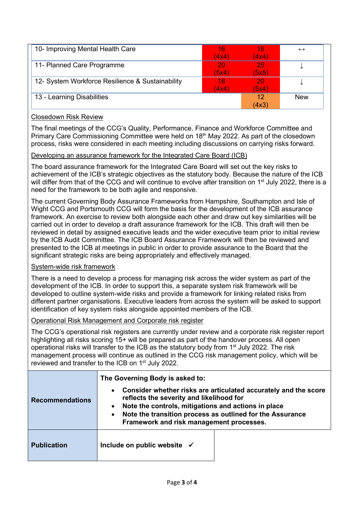| 10- Improving Mental Health Care                 | 16    | 16    | $\leftrightarrow$ |
|--------------------------------------------------|-------|-------|-------------------|
|                                                  | (4x4) | (4x4) |                   |
| 11- Planned Care Programme                       | 20    | 25    |                   |
|                                                  | (5x4) | (5x5) |                   |
| 12- System Workforce Resilience & Sustainability | 16    | 20    |                   |
|                                                  | (4x4) | (5x4) |                   |
| 13 - Learning Disabilities                       |       | 12    | <b>New</b>        |
|                                                  |       | (4x3) |                   |

#### Closedown Risk Review

The final meetings of the CCG's Quality, Performance, Finance and Workforce Committee and Primary Care Commissioning Committee were held on 18<sup>th</sup> May 2022. As part of the closedown process, risks were considered in each meeting including discussions on carrying risks forward.

#### Developing an assurance framework for the Integrated Care Board (ICB)

The board assurance framework for the Integrated Care Board will set out the key risks to achievement of the ICB's strategic objectives as the statutory body. Because the nature of the ICB will differ from that of the CCG and will continue to evolve after transition on 1<sup>st</sup> July 2022, there is a need for the framework to be both agile and responsive.

The current Governing Body Assurance Frameworks from Hampshire, Southampton and Isle of Wight CCG and Portsmouth CCG will form the basis for the development of the ICB assurance framework. An exercise to review both alongside each other and draw out key similarities will be carried out in order to develop a draft assurance framework for the ICB. This draft will then be reviewed in detail by assigned executive leads and the wider executive team prior to initial review by the ICB Audit Committee. The ICB Board Assurance Framework will then be reviewed and presented to the ICB at meetings in public in order to provide assurance to the Board that the significant strategic risks are being appropriately and effectively managed.

#### System-wide risk framework

There is a need to develop a process for managing risk across the wider system as part of the development of the ICB. In order to support this, a separate system risk framework will be developed to outline system-wide risks and provide a framework for linking related risks from different partner organisations. Executive leaders from across the system will be asked to support identification of key system risks alongside appointed members of the ICB.

#### Operational Risk Management and Corporate risk register

The CCG's operational risk registers are currently under review and a corporate risk register report highlighting all risks scoring 15+ will be prepared as part of the handover process. All open operational risks will transfer to the ICB as the statutory body from 1<sup>st</sup> July 2022. The risk management process will continue as outlined in the CCG risk management policy, which will be reviewed and transfer to the ICB on 1<sup>st</sup> July 2022.

| <b>Recommendations</b> | The Governing Body is asked to:<br>Consider whether risks are articulated accurately and the score<br>$\bullet$<br>reflects the severity and likelihood for<br>Note the controls, mitigations and actions in place<br>$\bullet$<br>Note the transition process as outlined for the Assurance<br>Framework and risk management processes. |  |
|------------------------|------------------------------------------------------------------------------------------------------------------------------------------------------------------------------------------------------------------------------------------------------------------------------------------------------------------------------------------|--|
| <b>Publication</b>     | Include on public website $\checkmark$                                                                                                                                                                                                                                                                                                   |  |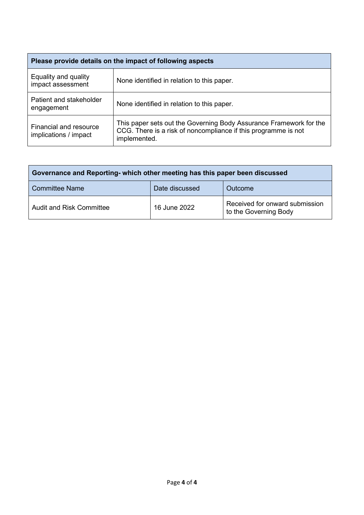| Please provide details on the impact of following aspects |                                                                                                                                                      |  |  |
|-----------------------------------------------------------|------------------------------------------------------------------------------------------------------------------------------------------------------|--|--|
| Equality and quality<br>impact assessment                 | None identified in relation to this paper.                                                                                                           |  |  |
| Patient and stakeholder<br>engagement                     | None identified in relation to this paper.                                                                                                           |  |  |
| <b>Financial and resource</b><br>implications / impact    | This paper sets out the Governing Body Assurance Framework for the<br>CCG. There is a risk of noncompliance if this programme is not<br>implemented. |  |  |

| Governance and Reporting- which other meeting has this paper been discussed |              |                                                         |  |  |
|-----------------------------------------------------------------------------|--------------|---------------------------------------------------------|--|--|
| <b>Committee Name</b><br>Date discussed<br>Outcome                          |              |                                                         |  |  |
| <b>Audit and Risk Committee</b>                                             | 16 June 2022 | Received for onward submission<br>to the Governing Body |  |  |

ń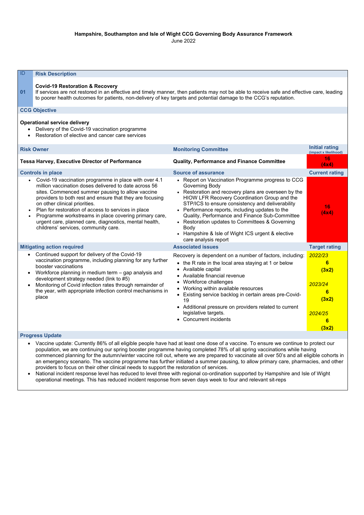#### **Hampshire, Southampton and Isle of Wight CCG Governing Body Assurance Framework** June 2022

| ID<br><b>Risk Description</b>                                                                                                                                                                                                                                                                                                                                                                                                                                                                    |                                                                                                                                                                                                                                                                                                                                                                                                                                                                                                   |                                                                                                     |  |
|--------------------------------------------------------------------------------------------------------------------------------------------------------------------------------------------------------------------------------------------------------------------------------------------------------------------------------------------------------------------------------------------------------------------------------------------------------------------------------------------------|---------------------------------------------------------------------------------------------------------------------------------------------------------------------------------------------------------------------------------------------------------------------------------------------------------------------------------------------------------------------------------------------------------------------------------------------------------------------------------------------------|-----------------------------------------------------------------------------------------------------|--|
| <b>Covid-19 Restoration &amp; Recovery</b><br>If services are not restored in an effective and timely manner, then patients may not be able to receive safe and effective care, leading<br>01<br>to poorer health outcomes for patients, non-delivery of key targets and potential damage to the CCG's reputation.                                                                                                                                                                               |                                                                                                                                                                                                                                                                                                                                                                                                                                                                                                   |                                                                                                     |  |
| <b>CCG Objective</b>                                                                                                                                                                                                                                                                                                                                                                                                                                                                             |                                                                                                                                                                                                                                                                                                                                                                                                                                                                                                   |                                                                                                     |  |
| <b>Operational service delivery</b><br>Delivery of the Covid-19 vaccination programme<br>Restoration of elective and cancer care services                                                                                                                                                                                                                                                                                                                                                        |                                                                                                                                                                                                                                                                                                                                                                                                                                                                                                   |                                                                                                     |  |
| <b>Risk Owner</b>                                                                                                                                                                                                                                                                                                                                                                                                                                                                                | <b>Monitoring Committee</b>                                                                                                                                                                                                                                                                                                                                                                                                                                                                       | <b>Initial rating</b><br>(impact x likelihood)                                                      |  |
| <b>Tessa Harvey, Executive Director of Performance</b>                                                                                                                                                                                                                                                                                                                                                                                                                                           | <b>Quality, Performance and Finance Committee</b>                                                                                                                                                                                                                                                                                                                                                                                                                                                 | 16<br>(4x4)                                                                                         |  |
| <b>Controls in place</b>                                                                                                                                                                                                                                                                                                                                                                                                                                                                         | <b>Source of assurance</b>                                                                                                                                                                                                                                                                                                                                                                                                                                                                        | <b>Current rating</b>                                                                               |  |
| • Covid-19 vaccination programme in place with over 4.1<br>million vaccination doses delivered to date across 56<br>sites. Commenced summer pausing to allow vaccine<br>providers to both rest and ensure that they are focusing<br>on other clinical priorities.<br>Plan for restoration of access to services in place<br>Programme workstreams in place covering primary care,<br>$\bullet$<br>urgent care, planned care, diagnostics, mental health,<br>childrens' services, community care. | • Report on Vaccination Programme progress to CCG<br><b>Governing Body</b><br>• Restoration and recovery plans are overseen by the<br><b>HIOW LFR Recovery Coordination Group and the</b><br>STP/ICS to ensure consistency and deliverability<br>• Performance reports, including updates to the<br>Quality, Performance and Finance Sub-Committee<br>• Restoration updates to Committees & Governing<br><b>Body</b><br>• Hampshire & Isle of Wight ICS urgent & elective<br>care analysis report | 16<br>(4x4)                                                                                         |  |
| <b>Mitigating action required</b>                                                                                                                                                                                                                                                                                                                                                                                                                                                                | <b>Associated issues</b>                                                                                                                                                                                                                                                                                                                                                                                                                                                                          | <b>Target rating</b>                                                                                |  |
| Continued support for delivery of the Covid-19<br>vaccination programme, including planning for any further<br>booster vaccinations<br>Workforce planning in medium term – gap analysis and<br>development strategy needed (link to #5)<br>Monitoring of Covid infection rates through remainder of<br>the year, with appropriate infection control mechanisms in<br>place                                                                                                                       | Recovery is dependent on a number of factors, including:<br>the R rate in the local area staying at 1 or below<br>• Available capital<br>Available financial revenue<br>$\bullet$<br>Workforce challenges<br>Working within available resources<br>$\bullet$<br>• Existing service backlog in certain areas pre-Covid-<br>19<br>• Additional pressure on providers related to current<br>legislative targets.<br>• Concurrent incidents                                                           | 2022/23<br>$6\phantom{1}6$<br>(3x2)<br>2023/24<br>$6\phantom{1}6$<br>(3x2)<br>2024/25<br>6<br>(3x2) |  |
| <b>Progress Update</b>                                                                                                                                                                                                                                                                                                                                                                                                                                                                           |                                                                                                                                                                                                                                                                                                                                                                                                                                                                                                   |                                                                                                     |  |
| • Vaccine update: Currently 86% of all eligible people have had at least one dose of a vaccine. To ensure we continue to protect our<br>population, we are continuing our spring booster programme having completed 78% of all spring vaccinations while having                                                                                                                                                                                                                                  |                                                                                                                                                                                                                                                                                                                                                                                                                                                                                                   |                                                                                                     |  |

- population, we are continuing our spring booster programme having completed 78% of all spring vaccinations while having commenced planning for the autumn/winter vaccine roll out, where we are prepared to vaccinate all over 50's and all eligible cohorts in an emergency scenario. The vaccine programme has further initiated a summer pausing, to allow primary care, pharmacies, and other providers to focus on their other clinical needs to support the restoration of services.
- National incident response level has reduced to level three with regional co-ordination supported by Hampshire and Isle of Wight operational meetings. This has reduced incident response from seven days week to four and relevant sit-reps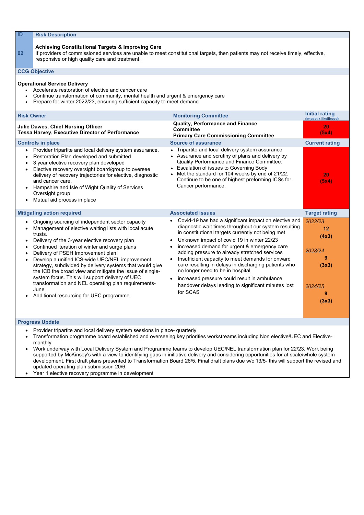#### **Achieving Constitutional Targets & Improving Care**

**02** If providers of commissioned services are unable to meet constitutional targets, then patients may not receive timely, effective, responsive or high quality care and treatment.

#### **CCG Objective**

#### **Operational Service Delivery**

- Accelerate restoration of elective and cancer care
- Continue transformation of community, mental health and urgent & emergency care
- Prepare for winter 2022/23, ensuring sufficient capacity to meet demand

| <b>Risk Owner</b>                                                                                                                                                                                                                                                                                                                                                                                                                                                                                                                                                                                                                        | <b>Monitoring Committee</b>                                                                                                                                                                                                                                                                                                                                                                                                                                                                                                                                                           | <b>Initial rating</b><br>(impact x likelihood)                           |
|------------------------------------------------------------------------------------------------------------------------------------------------------------------------------------------------------------------------------------------------------------------------------------------------------------------------------------------------------------------------------------------------------------------------------------------------------------------------------------------------------------------------------------------------------------------------------------------------------------------------------------------|---------------------------------------------------------------------------------------------------------------------------------------------------------------------------------------------------------------------------------------------------------------------------------------------------------------------------------------------------------------------------------------------------------------------------------------------------------------------------------------------------------------------------------------------------------------------------------------|--------------------------------------------------------------------------|
| <b>Julie Dawes, Chief Nursing Officer</b><br><b>Tessa Harvey, Executive Director of Performance</b>                                                                                                                                                                                                                                                                                                                                                                                                                                                                                                                                      | <b>Quality, Performance and Finance</b><br><b>Committee</b><br><b>Primary Care Commissioning Committee</b>                                                                                                                                                                                                                                                                                                                                                                                                                                                                            | 20<br>(5x4)                                                              |
| <b>Controls in place</b>                                                                                                                                                                                                                                                                                                                                                                                                                                                                                                                                                                                                                 | <b>Source of assurance</b>                                                                                                                                                                                                                                                                                                                                                                                                                                                                                                                                                            | <b>Current rating</b>                                                    |
| Provider tripartite and local delivery system assurance.<br>$\bullet$<br>Restoration Plan developed and submitted<br>$\bullet$<br>3 year elective recovery plan developed<br>$\bullet$<br>Elective recovery oversight board/group to oversee<br>$\bullet$<br>delivery of recovery trajectories for elective, diagnostic<br>and cancer care.<br>Hampshire and Isle of Wight Quality of Services<br>$\bullet$<br>Oversight group<br>Mutual aid process in place                                                                                                                                                                            | Tripartite and local delivery system assurance<br>• Assurance and scrutiny of plans and delivery by<br>Quality Performance and Finance Committee.<br>• Escalation of issues to Governing Body<br>Met the standard for 104 weeks by end of 21/22.<br>Continue to be one of highest preforming ICSs for<br>Cancer performance.                                                                                                                                                                                                                                                          | 20<br>(5x4)                                                              |
| <b>Mitigating action required</b>                                                                                                                                                                                                                                                                                                                                                                                                                                                                                                                                                                                                        | <b>Associated issues</b>                                                                                                                                                                                                                                                                                                                                                                                                                                                                                                                                                              | <b>Target rating</b>                                                     |
| Ongoing sourcing of independent sector capacity<br>Management of elective waiting lists with local acute<br>trusts.<br>Delivery of the 3-year elective recovery plan<br>$\bullet$<br>Continued iteration of winter and surge plans<br>$\bullet$<br>Delivery of PSEH Improvement plan<br>$\bullet$<br>Develop a unified ICS-wide UEC/NEL improvement<br>strategy, subdivided by delivery systems that would give<br>the ICB the broad view and mitigate the issue of single-<br>system focus. This will support delivery of UEC<br>transformation and NEL operating plan requirements-<br>June<br>Additional resourcing for UEC programme | Covid-19 has had a significant impact on elective and<br>diagnostic wait times throughout our system resulting<br>in constitutional targets currently not being met<br>Unknown impact of covid 19 in winter 22/23<br>increased demand for urgent & emergency care<br>adding pressure to already stretched services<br>Insufficient capacity to meet demands for onward<br>care resulting in delays in discharging patients who<br>no longer need to be in hospital<br>increased pressure could result in ambulance<br>handover delays leading to significant minutes lost<br>for SCAS | 2022/23<br>12<br>(4x3)<br>2023/24<br>9<br>(3x3)<br>2024/25<br>9<br>(3x3) |
|                                                                                                                                                                                                                                                                                                                                                                                                                                                                                                                                                                                                                                          |                                                                                                                                                                                                                                                                                                                                                                                                                                                                                                                                                                                       |                                                                          |

- Provider tripartite and local delivery system sessions in place- quarterly
- Transformation programme board established and overseeing key priorities workstreams including Non elective/UEC and Electivemonthly
- Work underway with Local Delivery System and Programme teams to develop UEC/NEL transformation plan for 22/23. Work being supported by McKinsey's with a view to identifying gaps in initiative delivery and considering opportunities for at scale/whole system development. First draft plans presented to Transformation Board 26/5. Final draft plans due w/c 13/5- this will support the revised and updated operating plan submission 20/6.
- Year 1 elective recovery programme in development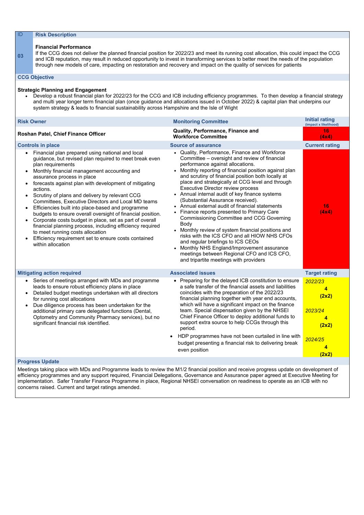| ID                                               | <b>Risk Description</b>                                                                                                                                                                                                                                                                                                                                                                                                                                                                                                                                                                                                                                                                                                                                      |                                                                                                                                                                                                                                                                                                                                                                                                                                                                                                                                                                                                                                                                                                                                                                                                                                                                                        |                                                                                                                                             |  |  |
|--------------------------------------------------|--------------------------------------------------------------------------------------------------------------------------------------------------------------------------------------------------------------------------------------------------------------------------------------------------------------------------------------------------------------------------------------------------------------------------------------------------------------------------------------------------------------------------------------------------------------------------------------------------------------------------------------------------------------------------------------------------------------------------------------------------------------|----------------------------------------------------------------------------------------------------------------------------------------------------------------------------------------------------------------------------------------------------------------------------------------------------------------------------------------------------------------------------------------------------------------------------------------------------------------------------------------------------------------------------------------------------------------------------------------------------------------------------------------------------------------------------------------------------------------------------------------------------------------------------------------------------------------------------------------------------------------------------------------|---------------------------------------------------------------------------------------------------------------------------------------------|--|--|
| 03                                               | <b>Financial Performance</b><br>If the CCG does not deliver the planned financial position for 2022/23 and meet its running cost allocation, this could impact the CCG<br>and ICB reputation, may result in reduced opportunity to invest in transforming services to better meet the needs of the population<br>through new models of care, impacting on restoration and recovery and impact on the quality of services for patients<br><b>CCG Objective</b>                                                                                                                                                                                                                                                                                                |                                                                                                                                                                                                                                                                                                                                                                                                                                                                                                                                                                                                                                                                                                                                                                                                                                                                                        |                                                                                                                                             |  |  |
|                                                  | <b>Strategic Planning and Engagement</b><br>system strategy & leads to financial sustainability across Hampshire and the Isle of Wight                                                                                                                                                                                                                                                                                                                                                                                                                                                                                                                                                                                                                       | • Develop a robust financial plan for 2022/23 for the CCG and ICB including efficiency programmes. To then develop a financial strategy<br>and multi year longer term financial plan (once guidance and allocations issued in October 2022) & capital plan that underpins our                                                                                                                                                                                                                                                                                                                                                                                                                                                                                                                                                                                                          |                                                                                                                                             |  |  |
| <b>Risk Owner</b>                                |                                                                                                                                                                                                                                                                                                                                                                                                                                                                                                                                                                                                                                                                                                                                                              | <b>Monitoring Committee</b>                                                                                                                                                                                                                                                                                                                                                                                                                                                                                                                                                                                                                                                                                                                                                                                                                                                            | <b>Initial rating</b><br>(impact x likelihood)                                                                                              |  |  |
|                                                  | Roshan Patel, Chief Finance Officer                                                                                                                                                                                                                                                                                                                                                                                                                                                                                                                                                                                                                                                                                                                          | <b>Quality, Performance, Finance and</b><br><b>Workforce Committee</b>                                                                                                                                                                                                                                                                                                                                                                                                                                                                                                                                                                                                                                                                                                                                                                                                                 | 16<br>(4x4)                                                                                                                                 |  |  |
|                                                  | <b>Controls in place</b>                                                                                                                                                                                                                                                                                                                                                                                                                                                                                                                                                                                                                                                                                                                                     | <b>Source of assurance</b>                                                                                                                                                                                                                                                                                                                                                                                                                                                                                                                                                                                                                                                                                                                                                                                                                                                             | <b>Current rating</b>                                                                                                                       |  |  |
| $\bullet$<br>$\bullet$<br>$\bullet$<br>$\bullet$ | Financial plan prepared using national and local<br>guidance, but revised plan required to meet break even<br>plan requirements<br>Monthly financial management accounting and<br>assurance process in place<br>forecasts against plan with development of mitigating<br>actions.<br>Scrutiny of plans and delivery by relevant CCG<br><b>Committees, Executive Directors and Local MD teams</b><br>Efficiencies built into place-based and programme<br>budgets to ensure overall oversight of financial position.<br>Corporate costs budget in place, set as part of overall<br>financial planning process, including efficiency required<br>to meet running costs allocation<br>Efficiency requirement set to ensure costs contained<br>within allocation | Quality, Performance, Finance and Workforce<br>Committee – oversight and review of financial<br>performance against allocations.<br>• Monthly reporting of financial position against plan<br>and scrutiny of financial position both locally at<br>place and strategically at CCG level and through<br><b>Executive Director review process</b><br>Annual internal audit of key finance systems<br>(Substantial Assurance received).<br>• Annual external audit of financial statements<br>Finance reports presented to Primary Care<br><b>Commissioning Committee and CCG Governing</b><br><b>Body</b><br>Monthly review of system financial positions and<br>risks with the ICS CFO and all HIOW NHS CFOs<br>and regular briefings to ICS CEOs<br>Monthly NHS England/Improvement assurance<br>meetings between Regional CFO and ICS CFO,<br>and tripartite meetings with providers | 16<br>(4x4)                                                                                                                                 |  |  |
| $\bullet$<br>$\bullet$                           | <b>Mitigating action required</b><br>Series of meetings arranged with MDs and programme<br>leads to ensure robust efficiency plans in place<br>Detailed budget meetings undertaken with all directors<br>for running cost allocations<br>Due diligence process has been undertaken for the<br>additional primary care delegated functions (Dental,<br>Optometry and Community Pharmacy services), but no<br>significant financial risk identified.                                                                                                                                                                                                                                                                                                           | <b>Associated issues</b><br>• Preparing for the delayed ICB constitution to ensure<br>a safe transfer of the financial assets and liabilities<br>coincides with the preparation of the 2022/23<br>financial planning together with year end accounts,<br>which will have a significant impact on the finance<br>team. Special dispensation given by the NHSEI<br>Chief Finance Officer to deploy additional funds to<br>support extra source to help CCGs through this<br>period.<br>HDP programmes have not been curtailed in line with<br>budget presenting a financial risk to delivering break<br>even position                                                                                                                                                                                                                                                                    | <b>Target rating</b><br>2022/23<br>4<br>(2x2)<br>2023/24<br>$\overline{\mathbf{4}}$<br>(2x2)<br>2024/25<br>$\overline{\mathbf{4}}$<br>(2x2) |  |  |

### **Progress Update**

Meetings taking place with MDs and Programme leads to review the M1/2 financial position and receive progress update on development of efficiency programmes and any support required, Financial Delegations, Governance and Assurance paper agreed at Executive Meeting for implementation. Safer Transfer Finance Programme in place, Regional NHSEI conversation on readiness to operate as an ICB with no concerns raised. Current and target ratings amended.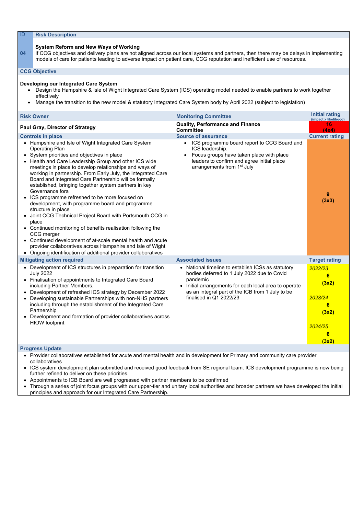#### **System Reform and New Ways of Working**

**04** If CCG objectives and delivery plans are not aligned across our local systems and partners, then there may be delays in implementing models of care for patients leading to adverse impact on patient care, CCG reputation and inefficient use of resources.

#### **CCG Objective**

#### **Developing our Integrated Care System**

- Design the Hampshire & Isle of Wight Integrated Care System (ICS) operating model needed to enable partners to work together effectively
- Manage the transition to the new model & statutory Integrated Care System body by April 2022 (subject to legislation)

| <b>Risk Owner</b>                                                                                                                                                                                                                                                                                                                                                                                                                                                                                                                                                                                                                                                                                                                                                                                                                                                                                                                                                                                                                            | <b>Monitoring Committee</b>                                                                                                                                                                                                                           | <b>Initial rating</b><br>(impact x likelihood)                                        |
|----------------------------------------------------------------------------------------------------------------------------------------------------------------------------------------------------------------------------------------------------------------------------------------------------------------------------------------------------------------------------------------------------------------------------------------------------------------------------------------------------------------------------------------------------------------------------------------------------------------------------------------------------------------------------------------------------------------------------------------------------------------------------------------------------------------------------------------------------------------------------------------------------------------------------------------------------------------------------------------------------------------------------------------------|-------------------------------------------------------------------------------------------------------------------------------------------------------------------------------------------------------------------------------------------------------|---------------------------------------------------------------------------------------|
| <b>Paul Gray, Director of Strategy</b>                                                                                                                                                                                                                                                                                                                                                                                                                                                                                                                                                                                                                                                                                                                                                                                                                                                                                                                                                                                                       | <b>Quality, Performance and Finance</b><br><b>Committee</b>                                                                                                                                                                                           | 16<br>(4x4)                                                                           |
| <b>Controls in place</b><br>Hampshire and Isle of Wight Integrated Care System<br>$\bullet$<br><b>Operating Plan</b><br>System priorities and objectives in place<br>$\bullet$<br>Health and Care Leadership Group and other ICS wide<br>meetings in place to develop relationships and ways of<br>working in partnership. From Early July, the Integrated Care<br>Board and Integrated Care Partnership will be formally<br>established, bringing together system partners in key<br>Governance fora<br>ICS programme refreshed to be more focused on<br>$\bullet$<br>development, with programme board and programme<br>structure in place<br>Joint CCG Technical Project Board with Portsmouth CCG in<br>$\bullet$<br>place<br>Continued monitoring of benefits realisation following the<br>$\bullet$<br>CCG merger<br>Continued development of at-scale mental health and acute<br>$\bullet$<br>provider collaboratives across Hampshire and Isle of Wight<br>Ongoing identification of additional provider collaboratives<br>$\bullet$ | <b>Source of assurance</b><br>ICS programme board report to CCG Board and<br>ICS leadership.<br>Focus groups have taken place with place<br>leaders to confirm and agree initial place<br>arrangements from 1 <sup>st</sup> July                      | <b>Current rating</b><br>9<br>(3x3)                                                   |
| <b>Mitigating action required</b>                                                                                                                                                                                                                                                                                                                                                                                                                                                                                                                                                                                                                                                                                                                                                                                                                                                                                                                                                                                                            | <b>Associated issues</b>                                                                                                                                                                                                                              | <b>Target rating</b>                                                                  |
| Development of ICS structures in preparation for transition<br>$\bullet$<br><b>July 2022</b><br>Finalisation of appointments to Integrated Care Board<br>$\bullet$<br>including Partner Members.<br>Development of refreshed ICS strategy by December 2022<br>$\bullet$<br>Developing sustainable Partnerships with non-NHS partners<br>$\bullet$<br>including through the establishment of the Integrated Care<br>Partnership<br>Development and formation of provider collaboratives across<br><b>HIOW</b> footprint                                                                                                                                                                                                                                                                                                                                                                                                                                                                                                                       | • National timeline to establish ICSs as statutory<br>bodies deferred to 1 July 2022 due to Covid<br>pandemic<br>• Initial arrangements for each local area to operate<br>as an integral part of the ICB from 1 July to be<br>finalised in Q1 2022/23 | 2022/23<br>6<br>(3x2)<br>2023/24<br>6<br>(3x2)<br>2024/25<br>$6\phantom{1}6$<br>(3x2) |

#### **Progress Update**

- Provider collaboratives established for acute and mental health and in development for Primary and community care provider collaboratives
- ICS system development plan submitted and received good feedback from SE regional team. ICS development programme is now being further refined to deliver on these priorities.
- Appointments to ICB Board are well progressed with partner members to be confirmed
- Through a series of joint focus groups with our upper-tier and unitary local authorities and broader partners we have developed the initial

principles and approach for our Integrated Care Partnership.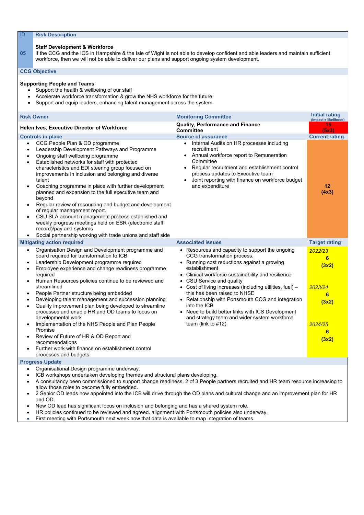#### **Staff Development & Workforce**

**05** If the CCG and the ICS in Hampshire & the Isle of Wight is not able to develop confident and able leaders and maintain sufficient workforce, then we will not be able to deliver our plans and support ongoing system development.

#### **CCG Objective**

#### **Supporting People and Teams**

- Support the health & wellbeing of our staff
- Accelerate workforce transformation & grow the NHS workforce for the future
- Support and equip leaders, enhancing talent management across the system

| <b>Risk Owner</b>                                                                                                                                                                                                                                                                                                                                                                                                                                                                                                                                                                                                                                                                                                      | <b>Monitoring Committee</b>                                                                                                                                                                                                                                     | Initial rating<br>(impact x likelihood) |  |  |
|------------------------------------------------------------------------------------------------------------------------------------------------------------------------------------------------------------------------------------------------------------------------------------------------------------------------------------------------------------------------------------------------------------------------------------------------------------------------------------------------------------------------------------------------------------------------------------------------------------------------------------------------------------------------------------------------------------------------|-----------------------------------------------------------------------------------------------------------------------------------------------------------------------------------------------------------------------------------------------------------------|-----------------------------------------|--|--|
| <b>Helen Ives, Executive Director of Workforce</b>                                                                                                                                                                                                                                                                                                                                                                                                                                                                                                                                                                                                                                                                     | <b>Quality, Performance and Finance</b><br><b>Committee</b>                                                                                                                                                                                                     | 15<br>(5x3)                             |  |  |
| <b>Controls in place</b><br>CCG People Plan & OD programme<br>$\bullet$<br>Leadership Development Pathways and Programme<br>$\bullet$                                                                                                                                                                                                                                                                                                                                                                                                                                                                                                                                                                                  | <b>Source of assurance</b><br>Internal Audits on HR processes including<br>$\bullet$<br>recruitment                                                                                                                                                             | <b>Current rating</b>                   |  |  |
| Ongoing staff wellbeing programme<br>$\bullet$<br>Established networks for staff with protected<br>$\bullet$<br>characteristics and EDI steering group focused on<br>improvements in inclusion and belonging and diverse<br>talent<br>Coaching programme in place with further development<br>$\bullet$<br>planned and expansion to the full executive team and<br>beyond<br>Regular review of resourcing and budget and development<br>$\bullet$<br>of regular management report.<br>CSU SLA account management process established and<br>$\bullet$<br>weekly progress meetings held on ESR (electronic staff<br>record)/pay and systems<br>Social partnership working with trade unions and staff side<br>$\bullet$ | Annual workforce report to Remuneration<br>Committee<br>Regular recruitment and establishment control<br>process updates to Executive team<br>Joint reporting with finance on workforce budget<br>and expenditure                                               | 12<br>(4x3)                             |  |  |
| <b>Mitigating action required</b>                                                                                                                                                                                                                                                                                                                                                                                                                                                                                                                                                                                                                                                                                      | <b>Associated issues</b>                                                                                                                                                                                                                                        | <b>Target rating</b>                    |  |  |
| Organisation Design and Development programme and<br>$\bullet$<br>board required for transformation to ICB<br>Leadership Development programme required<br>$\bullet$<br>Employee experience and change readiness programme<br>$\bullet$<br>required<br>Human Resources policies continue to be reviewed and<br>$\bullet$                                                                                                                                                                                                                                                                                                                                                                                               | • Resources and capacity to support the ongoing<br>CCG transformation process.<br>• Running cost reductions against a growing<br>establishment<br>• Clinical workforce sustainability and resilience<br>• CSU Service and quality                               | 2022/23<br>$6\phantom{1}6$<br>(3x2)     |  |  |
| streamlined<br>People Partner structure being embedded<br>$\bullet$<br>Developing talent management and succession planning<br>$\bullet$<br>Quality improvement plan being developed to streamline<br>processes and enable HR and OD teams to focus on<br>developmental work                                                                                                                                                                                                                                                                                                                                                                                                                                           | Cost of living increases (including utilities, fuel) -<br>this has been raised to NHSE<br>Relationship with Portsmouth CCG and integration<br>into the ICB<br>• Need to build better links with ICS Development<br>and strategy team and wider system workforce | 2023/24<br>$6\phantom{1}6$<br>(3x2)     |  |  |
| Implementation of the NHS People and Plan People<br>$\bullet$<br>Promise<br>Review of Future of HR & OD Report and<br>recommendations<br>Further work with finance on establishment control<br>processes and budgets                                                                                                                                                                                                                                                                                                                                                                                                                                                                                                   | team (link to $#12$ )                                                                                                                                                                                                                                           | 2024/25<br>6<br>(3x2)                   |  |  |
| <b>Progress Update</b>                                                                                                                                                                                                                                                                                                                                                                                                                                                                                                                                                                                                                                                                                                 |                                                                                                                                                                                                                                                                 |                                         |  |  |
| Organisational Design programme underway.<br>$\bullet$<br>ICB workshops undertaken developing themes and structural plans developing.<br>resultancy heap commissioned to cunnert change readingse, 2 of 2 Deeple pertaers recruited and UD team resource increasing to                                                                                                                                                                                                                                                                                                                                                                                                                                                 |                                                                                                                                                                                                                                                                 |                                         |  |  |

- A consultancy been commissioned to support change readiness. 2 of 3 People partners recruited and HR team resource increasing to allow those roles to become fully embedded.
- 2 Senior OD leads now appointed into the ICB will drive through the OD plans and cultural change and an improvement plan for HR and OD.
- New OD lead has significant focus on inclusion and belonging and has a shared system role.
- HR policies continued to be reviewed and agreed. alignment with Portsmouth policies also underway.
- First meeting with Portsmouth next week now that data is available to map integration of teams.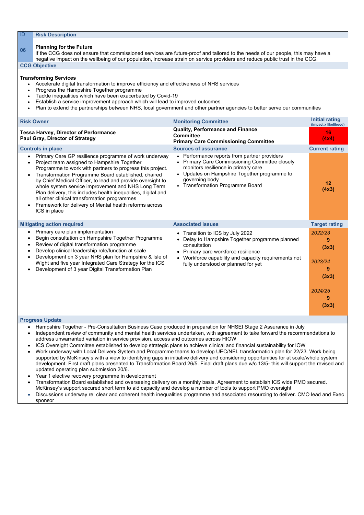## **<sup>06</sup> Planning for the Future**

If the CCG does not ensure that commissioned services are future-proof and tailored to the needs of our people, this may have a negative impact on the wellbeing of our population, increase strain on service providers and reduce public trust in the CCG.

#### **CCG Objective**

#### **Transforming Services**

- Accelerate digital transformation to improve efficiency and effectiveness of NHS services
- Progress the Hampshire Together programme
- Tackle inequalities which have been exacerbated by Covid-19
- Establish a service improvement approach which will lead to improved outcomes
- Plan to extend the partnerships between NHS, local government and other partner agencies to better serve our communities

| <b>Risk Owner</b>                                                                                                                                                                                                                                                                                                                                                                                                                                                                                                                       | <b>Monitoring Committee</b>                                                                                                                                                                                                                                              | <b>Initial rating</b><br>(impact x likelihood)                     |
|-----------------------------------------------------------------------------------------------------------------------------------------------------------------------------------------------------------------------------------------------------------------------------------------------------------------------------------------------------------------------------------------------------------------------------------------------------------------------------------------------------------------------------------------|--------------------------------------------------------------------------------------------------------------------------------------------------------------------------------------------------------------------------------------------------------------------------|--------------------------------------------------------------------|
| <b>Tessa Harvey, Director of Performance</b><br><b>Paul Gray, Director of Strategy</b>                                                                                                                                                                                                                                                                                                                                                                                                                                                  | <b>Quality, Performance and Finance</b><br><b>Committee</b><br><b>Primary Care Commissioning Committee</b>                                                                                                                                                               | 16<br>(4x4)                                                        |
| <b>Controls in place</b>                                                                                                                                                                                                                                                                                                                                                                                                                                                                                                                | <b>Sources of assurance</b>                                                                                                                                                                                                                                              | <b>Current rating</b>                                              |
| Primary Care GP resilience programme of work underway<br>Project team assigned to Hampshire Together<br>Programme to work with partners to progress this project.<br>Transformation Programme Board established, chaired<br>by Chief Medical Officer, to lead and provide oversight to<br>whole system service improvement and NHS Long Term<br>Plan delivery, this includes health inequalities, digital and<br>all other clinical transformation programmes<br>Framework for delivery of Mental health reforms across<br>ICS in place | Performance reports from partner providers<br>$\bullet$<br><b>Primary Care Commissioning Committee closely</b><br>$\bullet$<br>monitors resilience in primary care<br>• Updates on Hampshire Together programme to<br>governing body<br>• Transformation Programme Board | 12<br>(4x3)                                                        |
| <b>Mitigating action required</b>                                                                                                                                                                                                                                                                                                                                                                                                                                                                                                       | <b>Associated issues</b>                                                                                                                                                                                                                                                 | <b>Target rating</b>                                               |
| Primary care plan implementation<br>Begin consultation on Hampshire Together Programme<br>Review of digital transformation programme<br>Develop clinical leadership role/function at scale<br>Development on 3 year NHS plan for Hampshire & Isle of<br>Wight and five year Integrated Care Strategy for the ICS<br>Development of 3 year Digital Transformation Plan                                                                                                                                                                   | • Transition to ICS by July 2022<br>Delay to Hampshire Together programme planned<br>consultation<br>Primary care workforce resilience<br>$\bullet$<br>• Workforce capability and capacity requirements not<br>fully understood or planned for yet                       | 2022/23<br>9<br>(3x3)<br>2023/24<br>(3x3)<br>2024/25<br>9<br>(3x3) |

- Hampshire Together Pre-Consultation Business Case produced in preparation for NHSEI Stage 2 Assurance in July
- Independent review of community and mental health services undertaken, with agreement to take forward the recommendations to address unwarranted variation in service provision, access and outcomes across HIOW
- ICS Oversight Committee established to develop strategic plans to achieve clinical and financial sustainability for IOW
- Work underway with Local Delivery System and Programme teams to develop UEC/NEL transformation plan for 22/23. Work being supported by McKinsey's with a view to identifying gaps in initiative delivery and considering opportunities for at scale/whole system development. First draft plans presented to Transformation Board 26/5. Final draft plans due w/c 13/5- this will support the revised and updated operating plan submission 20/6.
- Year 1 elective recovery programme in development
- Transformation Board established and overseeing delivery on a monthly basis. Agreement to establish ICS wide PMO secured. McKinsey's support secured short term to aid capacity and develop a number of tools to support PMO oversight
- 
- Discussions underway re: clear and coherent health inequalities programme and associated resourcing to deliver. CMO lead and Exec sponsor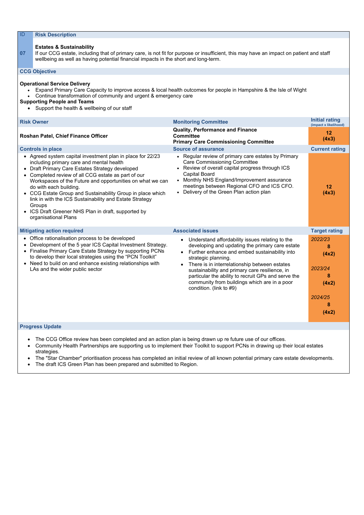#### **Estates & Sustainability**

**07** If our CCG estate, including that of primary care, is not fit for purpose or insufficient, this may have an impact on patient and staff wellbeing as well as having potential financial impacts in the short and long-term.

#### **CCG Objective**

#### **Operational Service Delivery**

- Expand Primary Care Capacity to improve access & local health outcomes for people in Hampshire & the Isle of Wight
- Continue transformation of community and urgent & emergency care

#### **Supporting People and Teams**

• Support the health & wellbeing of our staff

| <b>Risk Owner</b>                                                                                                                                                                                                                                                                                                                                                                                                                                                                                                       | <b>Monitoring Committee</b>                                                                                                                                                                                                                                                                                                                                                                                     | <b>Initial rating</b><br>(impact x likelihood)                 |
|-------------------------------------------------------------------------------------------------------------------------------------------------------------------------------------------------------------------------------------------------------------------------------------------------------------------------------------------------------------------------------------------------------------------------------------------------------------------------------------------------------------------------|-----------------------------------------------------------------------------------------------------------------------------------------------------------------------------------------------------------------------------------------------------------------------------------------------------------------------------------------------------------------------------------------------------------------|----------------------------------------------------------------|
| Roshan Patel, Chief Finance Officer                                                                                                                                                                                                                                                                                                                                                                                                                                                                                     | <b>Quality, Performance and Finance</b><br><b>Committee</b><br><b>Primary Care Commissioning Committee</b>                                                                                                                                                                                                                                                                                                      | 12<br>(4x3)                                                    |
| <b>Controls in place</b>                                                                                                                                                                                                                                                                                                                                                                                                                                                                                                | <b>Source of assurance</b>                                                                                                                                                                                                                                                                                                                                                                                      | <b>Current rating</b>                                          |
| • Agreed system capital investment plan in place for 22/23<br>including primary care and mental health<br>Draft Primary Care Estates Strategy developed<br>• Completed review of all CCG estate as part of our<br>Workspaces of the Future and opportunities on what we can<br>do with each building.<br>• CCG Estate Group and Sustainability Group in place which<br>link in with the ICS Sustainability and Estate Strategy<br>Groups<br>• ICS Draft Greener NHS Plan in draft, supported by<br>organisational Plans | • Regular review of primary care estates by Primary<br><b>Care Commissioning Committee</b><br>• Review of overall capital progress through ICS<br><b>Capital Board</b><br>• Monthly NHS England/Improvement assurance<br>meetings between Regional CFO and ICS CFO.<br>• Delivery of the Green Plan action plan                                                                                                 | 12<br>(4x3)                                                    |
| <b>Mitigating action required</b>                                                                                                                                                                                                                                                                                                                                                                                                                                                                                       | <b>Associated issues</b>                                                                                                                                                                                                                                                                                                                                                                                        | <b>Target rating</b>                                           |
| Office rationalisation process to be developed<br>$\bullet$<br>Development of the 5 year ICS Capital Investment Strategy.<br>Finalise Primary Care Estate Strategy by supporting PCNs<br>to develop their local strategies using the "PCN Toolkit"<br>• Need to build on and enhance existing relationships with<br>LAs and the wider public sector                                                                                                                                                                     | Understand affordability issues relating to the<br>developing and updating the primary care estate<br>Further enhance and embed sustainability into<br>strategic planning.<br>There is in interrelationship between estates<br>sustainability and primary care resilience, in<br>particular the ability to recruit GPs and serve the<br>community from buildings which are in a poor<br>condition. (link to #9) | 2022/23<br>8<br>(4x2)<br>2023/24<br>8<br>(4x2)<br>2024/25<br>8 |
|                                                                                                                                                                                                                                                                                                                                                                                                                                                                                                                         |                                                                                                                                                                                                                                                                                                                                                                                                                 | (4x2)                                                          |

- The CCG Office review has been completed and an action plan is being drawn up re future use of our offices.
- Community Health Partnerships are supporting us to implement their Toolkit to support PCNs in drawing up their local estates strategies.
- The "Star Chamber" prioritisation process has completed an initial review of all known potential primary care estate developments.
- The draft ICS Green Plan has been prepared and submitted to Region.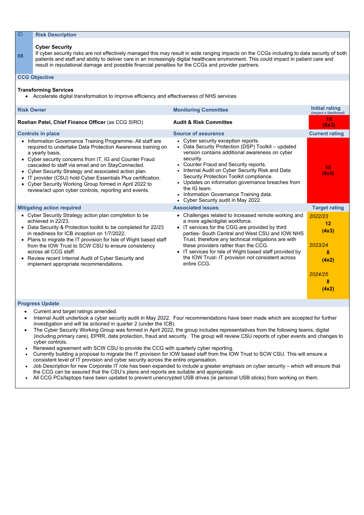| ID                | <b>Risk Description</b>                                                                                                                                                                                                                                                                                                                                                                                                                                                                         |                                                                                                                                                                                                                                                                                                                                                                                                                                                         |                                                 |  |  |  |  |
|-------------------|-------------------------------------------------------------------------------------------------------------------------------------------------------------------------------------------------------------------------------------------------------------------------------------------------------------------------------------------------------------------------------------------------------------------------------------------------------------------------------------------------|---------------------------------------------------------------------------------------------------------------------------------------------------------------------------------------------------------------------------------------------------------------------------------------------------------------------------------------------------------------------------------------------------------------------------------------------------------|-------------------------------------------------|--|--|--|--|
| 08                | <b>Cyber Security</b><br>If cyber security risks are not effectively managed this may result in wide ranging impacts on the CCGs including to data security of both<br>patients and staff and ability to deliver care in an increasingly digital healthcare environment. This could impact in patient care and<br>result in reputational damage and possible financial penalties for the CCGs and provider partners.                                                                            |                                                                                                                                                                                                                                                                                                                                                                                                                                                         |                                                 |  |  |  |  |
|                   | <b>CCG Objective</b>                                                                                                                                                                                                                                                                                                                                                                                                                                                                            |                                                                                                                                                                                                                                                                                                                                                                                                                                                         |                                                 |  |  |  |  |
|                   | <b>Transforming Services</b><br>Accelerate digital transformation to improve efficiency and effectiveness of NHS services                                                                                                                                                                                                                                                                                                                                                                       |                                                                                                                                                                                                                                                                                                                                                                                                                                                         |                                                 |  |  |  |  |
| <b>Risk Owner</b> |                                                                                                                                                                                                                                                                                                                                                                                                                                                                                                 | <b>Monitoring Committee</b>                                                                                                                                                                                                                                                                                                                                                                                                                             | <b>Initial rating</b><br>(impact x likelihood)  |  |  |  |  |
|                   | Roshan Patel, Chief Finance Officer (as CCG SIRO)                                                                                                                                                                                                                                                                                                                                                                                                                                               | <b>Audit &amp; Risk Committee</b>                                                                                                                                                                                                                                                                                                                                                                                                                       | 15<br>(5x3)                                     |  |  |  |  |
|                   | <b>Controls in place</b>                                                                                                                                                                                                                                                                                                                                                                                                                                                                        | <b>Source of assurance</b>                                                                                                                                                                                                                                                                                                                                                                                                                              | <b>Current rating</b>                           |  |  |  |  |
|                   | Information Governance Training Programme- All staff are<br>required to undertake Data Protection Awareness training on<br>a yearly basis.<br>Cyber security concerns from IT, IG and Counter Fraud<br>cascaded to staff via email and on StayConnected.<br>Cyber Security Strategy and associated action plan.<br>IT provider (CSU) hold Cyber Essentials Plus certification.<br>Cyber Security Working Group formed in April 2022 to<br>review/act upon cyber controls, reporting and events. | • Cyber security exception reports.<br>• Data Security Protection (DSP) Toolkit - updated<br>version contains additional awareness on cyber<br>security.<br>• Counter Fraud and Security reports.<br>• Internal Audit on Cyber Security Risk and Data<br>Security Protection Toolkit compliance.<br>• Updates on information governance breaches from<br>the IG team.<br>• Information Governance Training data.<br>• Cyber Security audit in May 2022. | 15<br>(5x3)                                     |  |  |  |  |
|                   | <b>Mitigating action required</b>                                                                                                                                                                                                                                                                                                                                                                                                                                                               | <b>Associated issues</b>                                                                                                                                                                                                                                                                                                                                                                                                                                | <b>Target rating</b>                            |  |  |  |  |
|                   | Cyber Security Strategy action plan completion to be<br>achieved in 22/23.<br>Data Security & Protection toolkit to be completed for 22/23<br>in readiness for ICB inception on 1/7/2022.<br>Plans to migrate the IT provision for Isle of Wight based staff<br>from the IOW Trust to SCW CSU to ensure consistency<br>across all CCG staff.<br>Review recent Internal Audit of Cyber Security and<br>implement appropriate recommendations.                                                    | • Challenges related to increased remote working and<br>a more agile/digital workforce.<br>• IT services for the CGG are provided by third<br>parties- South Central and West CSU and IOW NHS<br>Trust, therefore any technical mitigations are with<br>these providers rather than the CCG.<br>• IT services for Isle of Wight based staff provided by<br>the IOW Trust-IT provision not consistent across<br>entire CCG.                              | 2022/23<br>12<br>(4x3)<br>2023/24<br>8<br>(4x2) |  |  |  |  |
|                   |                                                                                                                                                                                                                                                                                                                                                                                                                                                                                                 |                                                                                                                                                                                                                                                                                                                                                                                                                                                         | 2024/25<br>8<br>(4x2)                           |  |  |  |  |

- Current and target ratings amended.
- Internal Audit undertook a cyber security audit in May 2022. Four recommendations have been made which are accepted for further investigation and will be actioned in quarter 2 (under the ICB).
- The Cyber Security Working Group was formed in April 2022, the group includes representatives from the following teams; digital (including primary care), EPRR, data protection, fraud and security. The group will review CSU reports of cyber events and changes to cyber controls.
- Renewed agreement with SCW CSU to provide the CCG with quarterly cyber reporting.
- Currently building a proposal to migrate the IT provision for IOW based staff from the IOW Trust to SCW CSU. This will ensure a consistent level of IT provision and cyber security across the entire organisation.
- Job Description for new Corporate IT role has been expanded to include a greater emphasis on cyber security which will ensure that the CCG can be assured that the CSU's plans and reports are suitable and appropriate.
- All CCG PCs/laptops have been updated to prevent unencrypted USB drives (ie personal USB sticks) from working on them.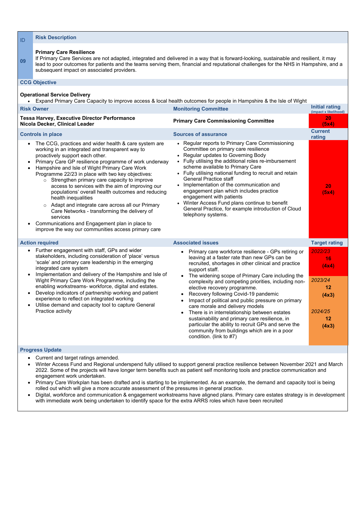| 09                     | <b>Primary Care Resilience</b><br>subsequent impact on associated providers.                                                                                                                                                                                                                                                                                                                                                                                                                                                                                                                                                                                                                                                   | If Primary Care Services are not adapted, integrated and delivered in a way that is forward-looking, sustainable and resilient, it may<br>lead to poor outcomes for patients and the teams serving them, financial and reputational challenges for the NHS in Hampshire, and a                                                                                                                                                                                                                                                                                              |                                                  |
|------------------------|--------------------------------------------------------------------------------------------------------------------------------------------------------------------------------------------------------------------------------------------------------------------------------------------------------------------------------------------------------------------------------------------------------------------------------------------------------------------------------------------------------------------------------------------------------------------------------------------------------------------------------------------------------------------------------------------------------------------------------|-----------------------------------------------------------------------------------------------------------------------------------------------------------------------------------------------------------------------------------------------------------------------------------------------------------------------------------------------------------------------------------------------------------------------------------------------------------------------------------------------------------------------------------------------------------------------------|--------------------------------------------------|
|                        | <b>CCG Objective</b>                                                                                                                                                                                                                                                                                                                                                                                                                                                                                                                                                                                                                                                                                                           |                                                                                                                                                                                                                                                                                                                                                                                                                                                                                                                                                                             |                                                  |
|                        | <b>Operational Service Delivery</b><br>Expand Primary Care Capacity to improve access & local health outcomes for people in Hampshire & the Isle of Wight                                                                                                                                                                                                                                                                                                                                                                                                                                                                                                                                                                      |                                                                                                                                                                                                                                                                                                                                                                                                                                                                                                                                                                             |                                                  |
|                        | <b>Risk Owner</b>                                                                                                                                                                                                                                                                                                                                                                                                                                                                                                                                                                                                                                                                                                              | <b>Monitoring Committee</b>                                                                                                                                                                                                                                                                                                                                                                                                                                                                                                                                                 | Initial rating<br>(impact x likelihood)          |
|                        | <b>Tessa Harvey, Executive Director Performance</b><br>Nicola Decker, Clinical Leader                                                                                                                                                                                                                                                                                                                                                                                                                                                                                                                                                                                                                                          | <b>Primary Care Commissioning Committee</b>                                                                                                                                                                                                                                                                                                                                                                                                                                                                                                                                 | 20<br>(5x4)                                      |
|                        | <b>Controls in place</b>                                                                                                                                                                                                                                                                                                                                                                                                                                                                                                                                                                                                                                                                                                       | <b>Sources of assurance</b>                                                                                                                                                                                                                                                                                                                                                                                                                                                                                                                                                 | <b>Current</b><br>rating                         |
| $\bullet$<br>$\bullet$ | The CCG, practices and wider health & care system are<br>working in an integrated and transparent way to<br>proactively support each other.<br>Primary Care GP resilience programme of work underway<br>Hampshire and Isle of Wight Primary Care Work<br>Programme 22/23 in place with two key objectives:<br>o Strengthen primary care capacity to improve<br>access to services with the aim of improving our<br>populations' overall health outcomes and reducing<br>health inequalities<br>Adapt and integrate care across all our Primary<br>$\circ$<br>Care Networks - transforming the delivery of<br>services<br>Communications and Engagement plan in place to<br>improve the way our communities access primary care | • Regular reports to Primary Care Commissioning<br>Committee on primary care resilience<br>• Regular updates to Governing Body<br>• Fully utilising the additional roles re-imbursement<br>scheme available to Primary Care<br>• Fully utilising national funding to recruit and retain<br><b>General Practice staff</b><br>• Implementation of the communication and<br>engagement plan which includes practice<br>engagement with patients<br>• Winter Access Fund plans continue to benefit<br>General Practice, for example introduction of Cloud<br>telephony systems. | 20<br>(5x4)                                      |
|                        | <b>Action required</b>                                                                                                                                                                                                                                                                                                                                                                                                                                                                                                                                                                                                                                                                                                         | <b>Associated issues</b>                                                                                                                                                                                                                                                                                                                                                                                                                                                                                                                                                    | <b>Target rating</b>                             |
| $\bullet$              | Further engagement with staff, GPs and wider<br>stakeholders, including consideration of 'place' versus<br>'scale' and primary care leadership in the emerging<br>integrated care system                                                                                                                                                                                                                                                                                                                                                                                                                                                                                                                                       | Primary care workforce resilience - GPs retiring or<br>leaving at a faster rate than new GPs can be<br>recruited, shortages in other clinical and practice<br>support staff.                                                                                                                                                                                                                                                                                                                                                                                                | 2022/23<br>16<br>(4x4)                           |
|                        | Implementation and delivery of the Hampshire and Isle of<br>Wight Primary Care Work Programme, including the<br>enabling workstreams- workforce, digital and estates.<br>Develop indicators of partnership working and patient<br>experience to reflect on integrated working<br>Utilise demand and capacity tool to capture General<br>Practice activity                                                                                                                                                                                                                                                                                                                                                                      | The widening scope of Primary Care including the<br>complexity and competing priorities, including non-<br>elective recovery programme.<br>Recovery following Covid-19 pandemic<br>Impact of political and public pressure on primary<br>care morale and delivery models<br>There is in interrelationship between estates<br>sustainability and primary care resilience, in<br>particular the ability to recruit GPs and serve the<br>community from buildings which are in a poor<br>condition. (link to #7)                                                               | 2023/24<br>12<br>(4x3)<br>2024/25<br>12<br>(4x3) |
|                        | <b>Progress Update</b>                                                                                                                                                                                                                                                                                                                                                                                                                                                                                                                                                                                                                                                                                                         |                                                                                                                                                                                                                                                                                                                                                                                                                                                                                                                                                                             |                                                  |

• Current and target ratings amended.

- Winter Access Fund and Regional underspend fully utilised to support general practice resilience between November 2021 and March 2022. Some of the projects will have longer term benefits such as patient self monitoring tools and practice communication and engagement work undertaken.
- Primary Care Workplan has been drafted and is starting to be implemented. As an example, the demand and capacity tool is being rolled out which will give a more accurate assessment of the pressures in general practice.
- 
- Digital, workforce and communication & engagement workstreams have aligned plans. Primary care estates strategy is in development with immediate work being undertaken to identify space for the extra ARRS roles which have been recruited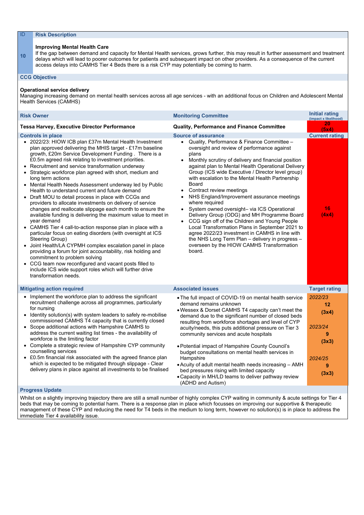#### **Improving Mental Health Care**

**10** If the gap between demand and capacity for Mental Health services, grows further, this may result in further assessment and treatment delays which will lead to poorer outcomes for patients and subsequent impact on other providers. As a consequence of the current access delays into CAMHS Tier 4 Beds there is a risk CYP may potentially be coming to harm.

#### **CCG Objective**

#### **Operational service delivery**

Managing increasing demand on mental health services across all age services - with an additional focus on Children and Adolescent Mental Health Services (CAMHS)

| 20<br><b>Quality, Performance and Finance Committee</b><br><b>Tessa Harvey, Executive Director Performance</b><br>(5x4)<br><b>Source of assurance</b><br><b>Controls in place</b><br>• 2022/23: HIOW ICB plan £37m Mental Health Investment<br>Quality, Performance & Finance Committee -<br>$\bullet$<br>plan approved delivering the MHIS target - £17m baseline<br>oversight and review of performance against<br>growth, £20m Service Development Funding. There is a<br>plans<br>£0.5m agreed risk relating to investment priorities.<br>Monthly scrutiny of delivery and financial position<br>Recruitment and service transformation underway<br>against plan to Mental Health Operational Delivery<br>$\bullet$<br>Group (ICS wide Executive / Director level group)<br>Strategic workforce plan agreed with short, medium and<br>with escalation to the Mental Health Partnership<br>long term actions<br><b>Board</b><br>Mental Health Needs Assessment underway led by Public<br>$\bullet$<br>Health to understand current and future demand<br>Contract review meetings<br>NHS England/Improvement assurance meetings<br>Draft MOU to detail process in place with CCGs and<br>$\bullet$<br>where required<br>providers to allocate investments on delivery of service<br>16<br>changes and reallocate slippage each month to ensure the<br>System owned oversight- via ICS Operational<br>$\bullet$<br>(4x4)<br>available funding is delivering the maximum value to meet in<br>Delivery Group (ODG) and MH Programme Board<br>CCG sign off of the Children and Young People<br>year demand | <b>Risk Owner</b>                                                      | <b>Monitoring Committee</b>                     | Initial rating<br>(impact x likelihood) |
|----------------------------------------------------------------------------------------------------------------------------------------------------------------------------------------------------------------------------------------------------------------------------------------------------------------------------------------------------------------------------------------------------------------------------------------------------------------------------------------------------------------------------------------------------------------------------------------------------------------------------------------------------------------------------------------------------------------------------------------------------------------------------------------------------------------------------------------------------------------------------------------------------------------------------------------------------------------------------------------------------------------------------------------------------------------------------------------------------------------------------------------------------------------------------------------------------------------------------------------------------------------------------------------------------------------------------------------------------------------------------------------------------------------------------------------------------------------------------------------------------------------------------------------------------------------------------------------------------------|------------------------------------------------------------------------|-------------------------------------------------|-----------------------------------------|
|                                                                                                                                                                                                                                                                                                                                                                                                                                                                                                                                                                                                                                                                                                                                                                                                                                                                                                                                                                                                                                                                                                                                                                                                                                                                                                                                                                                                                                                                                                                                                                                                          |                                                                        |                                                 |                                         |
| particular focus on eating disorders (with oversight at ICS<br>agree 2022/23 investment in CAMHS in line with<br>the NHS Long Term Plan - delivery in progress -<br>Steering Group)<br>overseen by the HIOW CAMHS Transformation<br>Joint Health/LA CYPMH complex escalation panel in place<br>$\bullet$<br>board.<br>providing a forum for joint accountability, risk holding and<br>commitment to problem solving<br>CCG team now reconfigured and vacant posts filled to<br>$\bullet$<br>include ICS wide support roles which will further drive<br>transformation needs.                                                                                                                                                                                                                                                                                                                                                                                                                                                                                                                                                                                                                                                                                                                                                                                                                                                                                                                                                                                                                             | CAMHS Tier 4 call-to-action response plan in place with a<br>$\bullet$ | Local Transformation Plans in September 2021 to | <b>Current rating</b>                   |
| <b>Associated issues</b><br><b>Mitigating action required</b><br><b>Target rating</b>                                                                                                                                                                                                                                                                                                                                                                                                                                                                                                                                                                                                                                                                                                                                                                                                                                                                                                                                                                                                                                                                                                                                                                                                                                                                                                                                                                                                                                                                                                                    |                                                                        |                                                 |                                         |
| Implement the workforce plan to address the significant<br>2022/23<br>$\bullet$<br>• The full impact of COVID-19 on mental health service<br>recruitment challenge across all programmes, particularly<br>demand remains unknown<br>12<br>for nursing<br>. Wessex & Dorset CAMHS T4 capacity can't meet the<br>(3x4)<br>Identity solution(s) with system leaders to safely re-mobilise<br>demand due to the significant number of closed beds<br>commissioned CAMHS T4 capacity that is currently closed<br>resulting from workforce shortages and level of CYP<br>2023/24<br>Scope additional actions with Hampshire CAMHS to<br>$\bullet$<br>acuity/needs, this puts additional pressure on Tier 3<br>address the current waiting list times - the availability of<br>community services and acute hospitals<br>9<br>workforce is the limiting factor<br>(3x3)<br>Complete a strategic review of Hampshire CYP community<br>$\bullet$<br>• Potential impact of Hampshire County Council's<br>counselling services<br>budget consultations on mental health services in<br>£0.5m financial risk associated with the agreed finance plan<br>$\bullet$<br>Hampshire<br>2024/25<br>which is expected to be mitigated through slippage - Clear<br>• Acuity of adult mental health needs increasing - AMH<br>9<br>delivery plans in place against all investments to be finalised<br>bed pressures rising with limited capacity<br>(3x3)<br>• Capacity in MH/LD teams to deliver pathway review<br>(ADHD and Autism)<br><b>Progress Update</b>                                                               |                                                                        |                                                 |                                         |

#### **Progress Update**

Whilst on a slightly improving trajectory there are still a small number of highly complex CYP waiting in community & acute settings for Tier 4 beds that may be coming to potential harm. There is a response plan in place which focusses on improving our supportive & therapeutic management of these CYP and reducing the need for T4 beds in the medium to long term, however no solution(s) is in place to address the immediate Tier 4 availability issue.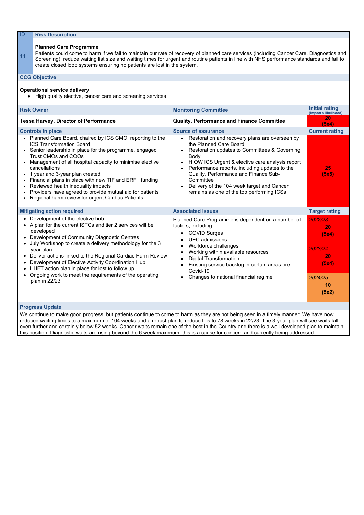#### **Planned Care Programme**

**11** Patients could come to harm if we fail to maintain our rate of recovery of planned care services (including Cancer Care, Diagnostics and Screening), reduce waiting list size and waiting times for urgent and routine patients in line with NHS performance standards and fail to create closed loop systems ensuring no patients are lost in the system.

#### **CCG Objective**

#### **Operational service delivery**

• High quality elective, cancer care and screening services

| <b>Risk Owner</b>                                                                                                                                                                                                                                                                                                                                                                                                                                                                                                                                                                                 | <b>Monitoring Committee</b>                                                                                                                                                                                                                                                                                                                                                                                                              | <b>Initial rating</b><br>(impact x likelihood)   |
|---------------------------------------------------------------------------------------------------------------------------------------------------------------------------------------------------------------------------------------------------------------------------------------------------------------------------------------------------------------------------------------------------------------------------------------------------------------------------------------------------------------------------------------------------------------------------------------------------|------------------------------------------------------------------------------------------------------------------------------------------------------------------------------------------------------------------------------------------------------------------------------------------------------------------------------------------------------------------------------------------------------------------------------------------|--------------------------------------------------|
| <b>Tessa Harvey, Director of Performance</b>                                                                                                                                                                                                                                                                                                                                                                                                                                                                                                                                                      | <b>Quality, Performance and Finance Committee</b>                                                                                                                                                                                                                                                                                                                                                                                        | 20<br>(5x4)                                      |
| <b>Controls in place</b><br>Planned Care Board, chaired by ICS CMO, reporting to the<br><b>ICS Transformation Board</b><br>Senior leadership in place for the programme, engaged<br>$\bullet$<br><b>Trust CMOs and COOs</b><br>Management of all hospital capacity to minimise elective<br>cancellations<br>1 year and 3-year plan created<br>$\bullet$<br>Financial plans in place with new TIF and ERF+ funding<br>Reviewed health inequality impacts<br>$\bullet$<br>Providers have agreed to provide mutual aid for patients<br>$\bullet$<br>Regional harm review for urgent Cardiac Patients | <b>Source of assurance</b><br>Restoration and recovery plans are overseen by<br>the Planned Care Board<br>Restoration updates to Committees & Governing<br>$\bullet$<br><b>Body</b><br>HIOW ICS Urgent & elective care analysis report<br>Performance reports, including updates to the<br>Quality, Performance and Finance Sub-<br>Committee<br>Delivery of the 104 week target and Cancer<br>remains as one of the top performing ICSs | <b>Current rating</b><br>25<br>(5x5)             |
| <b>Mitigating action required</b>                                                                                                                                                                                                                                                                                                                                                                                                                                                                                                                                                                 | <b>Associated issues</b>                                                                                                                                                                                                                                                                                                                                                                                                                 | <b>Target rating</b>                             |
| Development of the elective hub<br>• A plan for the current ISTCs and tier 2 services will be<br>developed<br>Development of Community Diagnostic Centres<br>July Workshop to create a delivery methodology for the 3<br>$\bullet$<br>year plan<br>Deliver actions linked to the Regional Cardiac Harm Review<br>$\bullet$<br>Development of Elective Activity Coordination Hub<br>$\bullet$<br>HHFT action plan in place for lost to follow up                                                                                                                                                   | Planned Care Programme is dependent on a number of<br>factors, including:<br><b>COVID Surges</b><br><b>UEC</b> admissions<br>Workforce challenges<br>Working within available resources<br><b>Digital Transformation</b><br>Existing service backlog in certain areas pre-<br>Covid-19                                                                                                                                                   | 2022/23<br>20<br>(5x4)<br>2023/24<br>20<br>(5x4) |
| Ongoing work to meet the requirements of the operating<br>plan in 22/23                                                                                                                                                                                                                                                                                                                                                                                                                                                                                                                           | Changes to national financial regime                                                                                                                                                                                                                                                                                                                                                                                                     | 2024/25<br>10<br>(5x2)                           |

#### **Progress Update**

We continue to make good progress, but patients continue to come to harm as they are not being seen in a timely manner. We have now reduced waiting times to a maximum of 104 weeks and a robust plan to reduce this to 78 weeks in 22/23. The 3-year plan will see waits fall even further and certainly below 52 weeks. Cancer waits remain one of the best in the Country and there is a well-developed plan to maintain this position. Diagnostic waits are rising beyond the 6 week maximum, this is a cause for concern and currently being addressed.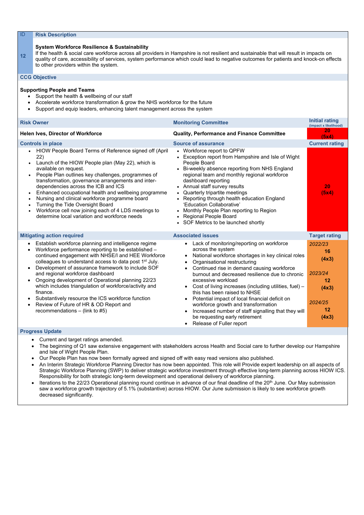#### **System Workforce Resilience & Sustainability**

**12** If the health & social care workforce across all providers in Hampshire is not resilient and sustainable that will result in impacts on quality of care, accessibility of services, system performance which could lead to negative outcomes for patients and knock-on effects to other providers within the system.

#### **CCG Objective**

#### **Supporting People and Teams**

- Support the health & wellbeing of our staff
- Accelerate workforce transformation & grow the NHS workforce for the future
- Support and equip leaders, enhancing talent management across the system

| <b>Risk Owner</b>                                                                                                                                                                                                                                                                                                                                                                                                                                                                                                                                                                                                                                                  | <b>Monitoring Committee</b>                                                                                                                                                                                                                                                                                                                                                                                                                                                                                                                                                                                                                                         | <b>Initial rating</b><br>(impact x likelihood)                                                     |
|--------------------------------------------------------------------------------------------------------------------------------------------------------------------------------------------------------------------------------------------------------------------------------------------------------------------------------------------------------------------------------------------------------------------------------------------------------------------------------------------------------------------------------------------------------------------------------------------------------------------------------------------------------------------|---------------------------------------------------------------------------------------------------------------------------------------------------------------------------------------------------------------------------------------------------------------------------------------------------------------------------------------------------------------------------------------------------------------------------------------------------------------------------------------------------------------------------------------------------------------------------------------------------------------------------------------------------------------------|----------------------------------------------------------------------------------------------------|
| <b>Helen Ives, Director of Workforce</b>                                                                                                                                                                                                                                                                                                                                                                                                                                                                                                                                                                                                                           | <b>Quality, Performance and Finance Committee</b>                                                                                                                                                                                                                                                                                                                                                                                                                                                                                                                                                                                                                   | 20<br>(5x4)                                                                                        |
| <b>Controls in place</b><br>HIOW People Board Terms of Reference signed off (April<br>$\bullet$<br>22)<br>Launch of the HIOW People plan (May 22), which is<br>available on request.<br>People Plan outlines key challenges, programmes of<br>transformation, governance arrangements and inter-<br>dependencies across the ICB and ICS<br>Enhanced occupational health and wellbeing programme<br>$\bullet$<br>Nursing and clinical workforce programme board<br>$\bullet$<br>Turning the Tide Oversight Board<br>Workforce cell now joining each of 4 LDS meetings to<br>$\bullet$<br>determine local variation and workforce needs                              | <b>Source of assurance</b><br>• Workforce report to QPFW<br>Exception report from Hampshire and Isle of Wight<br>People Board<br>Bi-weekly absence reporting from NHS England<br>$\bullet$<br>regional team and monthly regional workforce<br>dashboard reporting<br>• Annual staff survey results<br>• Quarterly tripartite meetings<br>Reporting through health education England<br>'Education Collaborative'<br>Monthly People Plan reporting to Region<br>$\bullet$<br><b>Regional People Board</b><br>• SOF Metrics to be launched shortly                                                                                                                    | <b>Current rating</b><br>20<br>(5x4)                                                               |
| <b>Mitigating action required</b><br>Establish workforce planning and intelligence regime<br>Workforce performance reporting to be established -<br>continued engagement with NHSE/I and HEE Workforce<br>colleagues to understand access to data post 1 <sup>st</sup> July.<br>Development of assurance framework to include SOF<br>٠<br>and regional workforce dashboard<br>Ongoing development of Operational planning 22/23<br>$\bullet$<br>which includes triangulation of workforce/activity and<br>finance.<br>Substantively resource the ICS workforce function<br>$\bullet$<br>Review of Future of HR & OD Report and<br>recommendations $-$ (link to #5) | <b>Associated issues</b><br>Lack of monitoring/reporting on workforce<br>$\bullet$<br>across the system<br>National workforce shortages in key clinical roles<br>Organisational restructuring<br>$\bullet$<br>Continued rise in demand causing workforce<br>$\bullet$<br>burnout and decreased resilience due to chronic<br>excessive workload<br>Cost of living increases (including utilities, fuel) –<br>this has been raised to NHSE<br>Potential impact of local financial deficit on<br>$\bullet$<br>workforce growth and transformation<br>Increased number of staff signalling that they will<br>be requesting early retirement<br>Release of Fuller report | <b>Target rating</b><br>2022/23<br>16<br>(4x3)<br>2023/24<br>12<br>(4x3)<br>2024/25<br>12<br>(4x3) |
| <b>Progress Update</b><br>• Current and target ratings amended.                                                                                                                                                                                                                                                                                                                                                                                                                                                                                                                                                                                                    |                                                                                                                                                                                                                                                                                                                                                                                                                                                                                                                                                                                                                                                                     |                                                                                                    |

- The beginning of Q1 saw extensive engagement with stakeholders across Health and Social care to further develop our Hampshire and Isle of Wight People Plan.
- Our People Plan has now been formally agreed and signed off with easy read versions also published.
- An Interim Strategic Workforce Planning Director has now been appointed. This role will Provide expert leadership on all aspects of Strategic Workforce Planning (SWP) to deliver strategic workforce investment through effective long-term planning across HIOW ICS. Responsibility for both strategic long-term development and operational delivery of workforce planning.
- Iterations to the 22/23 Operational planning round continue in advance of our final deadline of the 20<sup>th</sup> June. Our May submission saw a workforce growth trajectory of 5.1% (substantive) across HIOW. Our June submission is likely to see workforce growth

decreased significantly.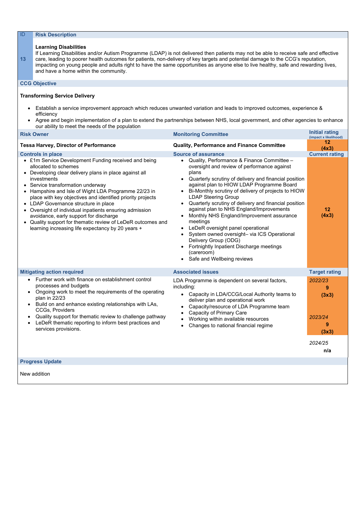#### **Learning Disabilities**

**13** If Learning Disabilities and/or Autism Programme (LDAP) is not delivered then patients may not be able to receive safe and effective care, leading to poorer health outcomes for patients, non-delivery of key targets and potential damage to the CCG's reputation, impacting on young people and adults right to have the same opportunities as anyone else to live healthy, safe and rewarding lives, and have a home within the community.

#### **CCG Objective**

#### **Transforming Service Delivery**

- Establish a service improvement approach which reduces unwanted variation and leads to improved outcomes, experience & efficiency
- Agree and begin implementation of a plan to extend the partnerships between NHS, local government, and other agencies to enhance our ability to meet the needs of the population

| <b>Risk Owner</b>                                                                                                                                                                                                                                                                                                                                                                                                                                                                                                                                                                                                      | <b>Monitoring Committee</b>                                                                                                                                                                                                                                                                                                                                                                                                                                                                                                                                                                                                                                                                   | <b>Initial rating</b><br>(impact x likelihood) |
|------------------------------------------------------------------------------------------------------------------------------------------------------------------------------------------------------------------------------------------------------------------------------------------------------------------------------------------------------------------------------------------------------------------------------------------------------------------------------------------------------------------------------------------------------------------------------------------------------------------------|-----------------------------------------------------------------------------------------------------------------------------------------------------------------------------------------------------------------------------------------------------------------------------------------------------------------------------------------------------------------------------------------------------------------------------------------------------------------------------------------------------------------------------------------------------------------------------------------------------------------------------------------------------------------------------------------------|------------------------------------------------|
| <b>Tessa Harvey, Director of Performance</b>                                                                                                                                                                                                                                                                                                                                                                                                                                                                                                                                                                           | <b>Quality, Performance and Finance Committee</b>                                                                                                                                                                                                                                                                                                                                                                                                                                                                                                                                                                                                                                             | 12<br>(4x3)                                    |
| <b>Controls in place</b><br>• £1m Service Development Funding received and being<br>allocated to schemes<br>Developing clear delivery plans in place against all<br>$\bullet$<br>investments<br>• Service transformation underway<br>Hampshire and Isle of Wight LDA Programme 22/23 in<br>place with key objectives and identified priority projects<br>• LDAP Governance structure in place<br>• Oversight of individual inpatients ensuring admission<br>avoidance, early support for discharge<br>• Quality support for thematic review of LeDeR outcomes and<br>learning increasing life expectancy by 20 years + | <b>Source of assurance</b><br>Quality, Performance & Finance Committee -<br>oversight and review of performance against<br>plans<br>Quarterly scrutiny of delivery and financial position<br>against plan to HIOW LDAP Programme Board<br>Bi-Monthly scrutiny of delivery of projects to HIOW<br><b>LDAP Steering Group</b><br>Quarterly scrutiny of delivery and financial position<br>against plan to NHS England/Improvements<br>Monthly NHS England/Improvement assurance<br>meetings<br>LeDeR oversight panel operational<br>System owned oversight- via ICS Operational<br>Delivery Group (ODG)<br>Fortnightly Inpatient Discharge meetings<br>(careroom)<br>Safe and Wellbeing reviews | <b>Current rating</b><br>12<br>(4x3)           |
| <b>Mitigating action required</b>                                                                                                                                                                                                                                                                                                                                                                                                                                                                                                                                                                                      | <b>Associated issues</b>                                                                                                                                                                                                                                                                                                                                                                                                                                                                                                                                                                                                                                                                      | <b>Target rating</b>                           |
| Further work with finance on establishment control<br>$\bullet$<br>processes and budgets<br>Ongoing work to meet the requirements of the operating<br>$\bullet$<br>plan in 22/23<br>Build on and enhance existing relationships with LAs,<br><b>CCGs, Providers</b><br>Quality support for thematic review to challenge pathway<br>$\bullet$<br>LeDeR thematic reporting to inform best practices and<br>services provisions.                                                                                                                                                                                          | LDA Programme is dependent on several factors,<br>including:<br>• Capacity in LDA/CCG/Local Authority teams to<br>deliver plan and operational work<br>Capacity/resource of LDA Programme team<br><b>Capacity of Primary Care</b><br>Working within available resources<br>Changes to national financial regime                                                                                                                                                                                                                                                                                                                                                                               | 2022/23<br>9<br>(3x3)<br>2023/24<br>9<br>(3x3) |
|                                                                                                                                                                                                                                                                                                                                                                                                                                                                                                                                                                                                                        |                                                                                                                                                                                                                                                                                                                                                                                                                                                                                                                                                                                                                                                                                               | 2024/25<br>n/a                                 |

#### **Progress Update**

New addition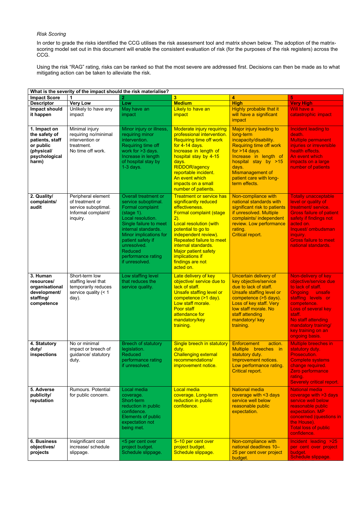#### *Risk Scoring*

In order to grade the risks identified the CCG utilises the risk assessment tool and matrix shown below. The adoption of the matrixscoring model set out in this document will enable the consistent evaluation of risk (for the purposes of the risk registers) across the CCG.

Using the risk "RAG" rating, risks can be ranked so that the most severe are addressed first. Decisions can then be made as to what mitigating action can be taken to alleviate the risk.

| What is the severity of the impact should the risk materialise?                                       |                                                                                                 |                                                                                                                                                                                                                                                                                           |                                                                                                                                                                                                                                                                                                                                                    |                                                                                                                                                                                                                                                      |                                                                                                                                                                                                                                                |  |
|-------------------------------------------------------------------------------------------------------|-------------------------------------------------------------------------------------------------|-------------------------------------------------------------------------------------------------------------------------------------------------------------------------------------------------------------------------------------------------------------------------------------------|----------------------------------------------------------------------------------------------------------------------------------------------------------------------------------------------------------------------------------------------------------------------------------------------------------------------------------------------------|------------------------------------------------------------------------------------------------------------------------------------------------------------------------------------------------------------------------------------------------------|------------------------------------------------------------------------------------------------------------------------------------------------------------------------------------------------------------------------------------------------|--|
| <b>Impact Score</b>                                                                                   |                                                                                                 |                                                                                                                                                                                                                                                                                           | 3                                                                                                                                                                                                                                                                                                                                                  | $\overline{\mathbf{4}}$                                                                                                                                                                                                                              | 5                                                                                                                                                                                                                                              |  |
| <b>Descriptor</b>                                                                                     | <b>Very Low</b>                                                                                 | Low                                                                                                                                                                                                                                                                                       | <b>Medium</b>                                                                                                                                                                                                                                                                                                                                      | <b>High</b>                                                                                                                                                                                                                                          | <b>Very High</b>                                                                                                                                                                                                                               |  |
| Impact should<br>it happen                                                                            | Unlikely to have any<br>impact                                                                  | May have an<br>impact                                                                                                                                                                                                                                                                     | Likely to have an<br>impact                                                                                                                                                                                                                                                                                                                        | Highly probable that it<br>will have a significant<br>impact                                                                                                                                                                                         | Will have a<br>catastrophic impact                                                                                                                                                                                                             |  |
| 1. Impact on<br>the safety of<br>patients, staff<br>or public<br>(physical/<br>psychological<br>harm) | Minimal injury<br>requiring no/minimal<br>intervention or<br>treatment.<br>No time off work.    | Minor injury or illness,<br>requiring minor<br>intervention.<br>Requiring time off<br>work for >3 days.<br>Increase in length<br>of hospital stay by<br>$1-3$ days.                                                                                                                       | <b>Moderate injury requiring</b><br>professional intervention.<br><b>Requiring time off work</b><br>for 4-14 days.<br>Increase in length of<br>hospital stay by 4-15<br>days.<br><b>RIDDOR/agency</b><br>reportable incident.<br>An event which<br>impacts on a small<br>number of patients.                                                       | Major injury leading to<br>long-term<br>incapacity/disability.<br><b>Requiring time off work</b><br>for $>14$ days.<br>Increase in length of<br>hospital stay by >15<br>days.<br><b>Mismanagement of</b><br>patient care with long-<br>term effects. | Incident leading to<br>death.<br><b>Multiple permanent</b><br>injuries or irreversible<br>health effects.<br>An event which<br>impacts on a large<br>number of patients                                                                        |  |
| 2. Quality/<br>complaints/<br>audit                                                                   | Peripheral element<br>of treatment or<br>service suboptimal.<br>Informal complaint/<br>inquiry. | <b>Overall treatment or</b><br>service suboptimal.<br><b>Formal complaint</b><br>(stage 1).<br>Local resolution.<br>Single failure to meet<br>internal standards.<br>Minor implications for<br>patient safety if<br>unresolved.<br><b>Reduced</b><br>performance rating<br>if unresolved. | <b>Treatment or service has</b><br>significantly reduced<br>effectiveness.<br><b>Formal complaint (stage</b><br>$2)$ .<br><b>Local resolution (with</b><br>potential to go to<br>independent review).<br><b>Repeated failure to meet</b><br>internal standards.<br><b>Major patient safety</b><br>implications if<br>findings are not<br>acted on. | Non-compliance with<br>national standards with<br>significant risk to patients<br>if unresolved. Multiple<br>complaints/ independent<br>review. Low performance<br>rating.<br><b>Critical report.</b>                                                | <b>Totally unacceptable</b><br>level or quality of<br>treatment/ service.<br><b>Gross failure of patient</b><br>safety if findings not<br>acted on.<br>Inquest/ ombudsman<br>inquiry.<br><b>Gross failure to meet</b><br>national standards.   |  |
| 3. Human<br>resources/<br>organisational<br>development/<br>staffing/<br>competence                   | Short-term low<br>staffing level that<br>temporarily reduces<br>service quality $(< 1$<br>day). | Low staffing level<br>that reduces the<br>service quality.                                                                                                                                                                                                                                | Late delivery of key<br>objective/ service due to<br><u>lack of staff.</u><br>Unsafe staffing level or<br>competence (>1 day).<br>Low staff morale.<br>Poor staff<br>attendance for<br>mandatory/key<br>training.                                                                                                                                  | Uncertain delivery of<br>key objective/service<br>due to lack of staff.<br>Unsafe staffing level or<br>competence (>5 days).<br>Loss of key staff. Very<br>low staff morale. No<br>staff attending<br>mandatory/key<br>training.                     | Non-delivery of key<br>objective/service due<br>to lack of staff.<br>Ongoing unsafe<br>staffing levels or<br>competence.<br>Loss of several key<br>staff.<br>No staff attending<br>mandatory training/<br>key training on an<br>ongoing basis. |  |
| 4. Statutory<br>duty/<br>inspections                                                                  | No or minimal<br>impact or breech of<br>guidance/ statutory<br>duty.                            | <b>Breech of statutory</b><br>legislation.<br><b>Reduced</b><br>performance rating<br>if unresolved.                                                                                                                                                                                      | Single breech in statutory<br>duty.<br><b>Challenging external</b><br>recommendations/<br>improvement notice.                                                                                                                                                                                                                                      | <b>Enforcement</b><br>action.<br>Multiple breeches in<br>statutory duty.<br>Improvement notices.<br>Low performance rating.<br><b>Critical report.</b>                                                                                               | <b>Multiple breeches in</b><br>statutory duty.<br>Prosecution.<br><b>Complete systems</b><br>change required.<br>Zero performance<br>rating.<br><b>Severely critical report.</b>                                                               |  |
| 5. Adverse<br>publicity/<br>reputation                                                                | <b>Rumours. Potential</b><br>for public concern.                                                | Local media<br>coverage.<br>Short-term<br>reduction in public<br>confidence.<br>Elements of public<br>expectation not<br>being met.                                                                                                                                                       | Local media<br>coverage. Long-term<br>reduction in public<br>confidence.                                                                                                                                                                                                                                                                           | <b>National media</b><br>coverage with <3 days<br>service well below<br>reasonable public<br>expectation.                                                                                                                                            | <b>National media</b><br>coverage with >3 days<br>service well below<br>reasonable public<br>expectation. MP<br>concerned (questions in<br>the House).<br><b>Total loss of public</b><br>confidence.                                           |  |
| <b>6. Business</b><br>objectives/<br>projects                                                         | Insignificant cost<br>increase/ schedule<br>slippage.                                           | <5 per cent over<br>project budget.<br>Schedule slippage.                                                                                                                                                                                                                                 | 5-10 per cent over<br>project budget.<br>Schedule slippage.                                                                                                                                                                                                                                                                                        | Non-compliance with<br>national deadlines 10-<br>25 per cent over project<br>budget.                                                                                                                                                                 | Incident leading >25<br>per cent over project<br>budget.<br>Schedule slippage.                                                                                                                                                                 |  |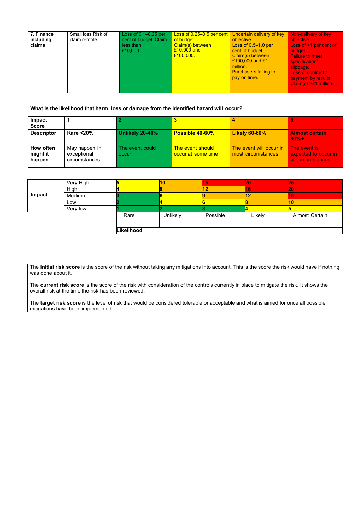| 7. Finance<br>including<br>claims | Small loss Risk of<br>claim remote. | Loss of $0.1 - 0.25$ per<br>cent of budget. Claim<br>less than<br>£10,000. | Loss of 0.25–0.5 per cent   Uncertain delivery of key<br>of budget.<br>Claim(s) between<br>$E10,000$ and<br>£100,000. | objective.<br>Loss of $0.5-1.0$ per<br>cent of budget.<br>Claim(s) between<br>£100,000 and £1<br>million.<br><b>Purchasers failing to</b><br>pay on time. | Non-delivery of key<br>objective.<br>Loss of >1 per cent of<br>budget.<br><b>Failure to meet</b><br>specification/<br>slippage.<br>Loss of contract /<br>payment by results.<br>$Claim(s) > £1$ million. |
|-----------------------------------|-------------------------------------|----------------------------------------------------------------------------|-----------------------------------------------------------------------------------------------------------------------|-----------------------------------------------------------------------------------------------------------------------------------------------------------|----------------------------------------------------------------------------------------------------------------------------------------------------------------------------------------------------------|
|-----------------------------------|-------------------------------------|----------------------------------------------------------------------------|-----------------------------------------------------------------------------------------------------------------------|-----------------------------------------------------------------------------------------------------------------------------------------------------------|----------------------------------------------------------------------------------------------------------------------------------------------------------------------------------------------------------|

| What is the likelihood that harm, loss or damage from the identified hazard will occur? |                                               |                          |                                        |                                               |                                                           |
|-----------------------------------------------------------------------------------------|-----------------------------------------------|--------------------------|----------------------------------------|-----------------------------------------------|-----------------------------------------------------------|
| Impact<br><b>Score</b>                                                                  |                                               |                          |                                        |                                               |                                                           |
| <b>Descriptor</b>                                                                       | <b>Rare &lt;20%</b>                           | Unlikely 20-40%          | <b>Possible 40-60%</b>                 | <b>Likely 60-80%</b>                          | <b>Almost certain</b><br>$80% +$                          |
| How often<br>might it<br>happen                                                         | May happen in<br>exceptional<br>circumstances | The event could<br>occur | The event should<br>occur at some time | The event will occur in<br>most circumstances | The event is<br>expected to occur in<br>all circumstances |

|        | Very High |            | 10       |          | 20     | 25                    |
|--------|-----------|------------|----------|----------|--------|-----------------------|
|        | High      |            |          | 12       | 16     | 20                    |
| Impact | Medium    |            |          |          | 12     | 15                    |
|        | Low       |            |          |          |        | <b>10</b>             |
|        | Very low  |            |          |          |        |                       |
|        |           | Rare       | Unlikely | Possible | Likely | <b>Almost Certain</b> |
|        |           |            |          |          |        |                       |
|        |           | Likelihood |          |          |        |                       |

The **initial risk score** is the score of the risk without taking any mitigations into account. This is the score the risk would have if nothing was done about it.

The **current risk score** is the score of the risk with consideration of the controls currently in place to mitigate the risk. It shows the overall risk at the time the risk has been reviewed.

The **target risk score** is the level of risk that would be considered tolerable or acceptable and what is aimed for once all possible mitigations have been implemented.